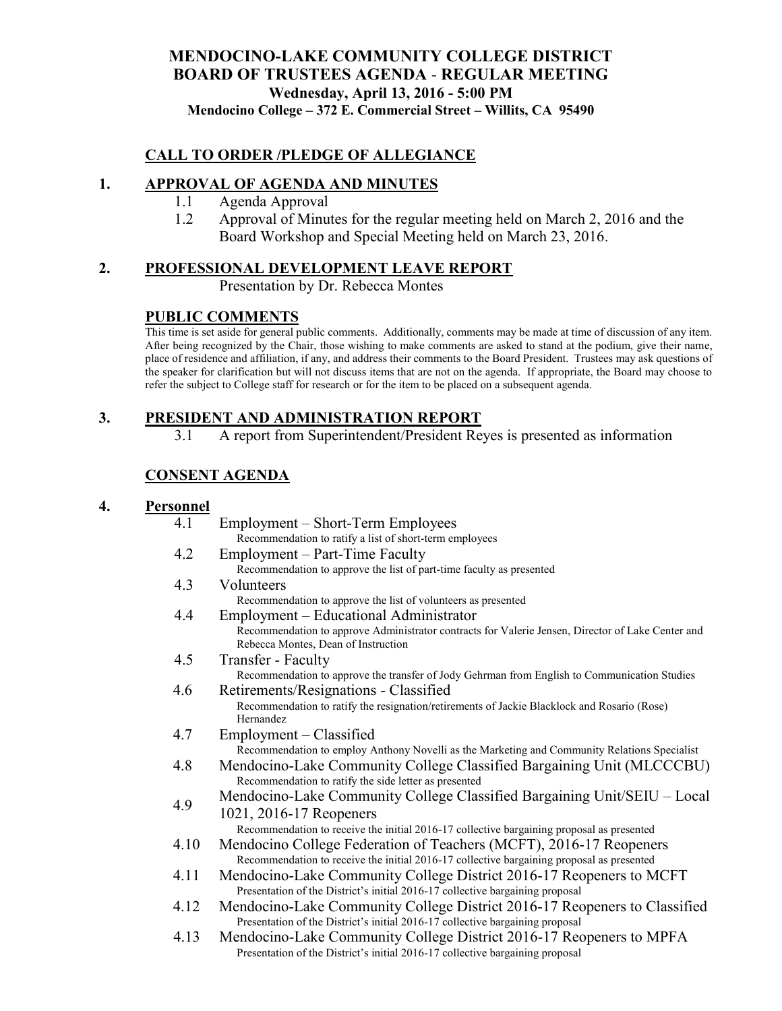### **MENDOCINO-LAKE COMMUNITY COLLEGE DISTRICT BOARD OF TRUSTEES AGENDA** - **REGULAR MEETING Wednesday, April 13, 2016 - 5:00 PM Mendocino College – 372 E. Commercial Street – Willits, CA 95490**

### **CALL TO ORDER /PLEDGE OF ALLEGIANCE**

#### **1. APPROVAL OF AGENDA AND MINUTES**

- 1.1 Agenda Approval
- 1.2 Approval of Minutes for the regular meeting held on March 2, 2016 and the Board Workshop and Special Meeting held on March 23, 2016.

#### **2. PROFESSIONAL DEVELOPMENT LEAVE REPORT**

Presentation by Dr. Rebecca Montes

### **PUBLIC COMMENTS**

This time is set aside for general public comments. Additionally, comments may be made at time of discussion of any item. After being recognized by the Chair, those wishing to make comments are asked to stand at the podium, give their name, place of residence and affiliation, if any, and address their comments to the Board President. Trustees may ask questions of the speaker for clarification but will not discuss items that are not on the agenda. If appropriate, the Board may choose to refer the subject to College staff for research or for the item to be placed on a subsequent agenda.

### **3. PRESIDENT AND ADMINISTRATION REPORT**

3.1 A report from Superintendent/President Reyes is presented as information

## **CONSENT AGENDA**

#### **4. Personnel**

| 4.1  | Employment – Short-Term Employees                                                                 |
|------|---------------------------------------------------------------------------------------------------|
|      | Recommendation to ratify a list of short-term employees                                           |
| 4.2  | Employment – Part-Time Faculty                                                                    |
|      | Recommendation to approve the list of part-time faculty as presented                              |
| 4.3  | Volunteers                                                                                        |
|      | Recommendation to approve the list of volunteers as presented                                     |
| 4.4  | Employment – Educational Administrator                                                            |
|      | Recommendation to approve Administrator contracts for Valerie Jensen, Director of Lake Center and |
|      | Rebecca Montes, Dean of Instruction                                                               |
| 4.5  | Transfer - Faculty                                                                                |
|      | Recommendation to approve the transfer of Jody Gehrman from English to Communication Studies      |
| 4.6  | Retirements/Resignations - Classified                                                             |
|      | Recommendation to ratify the resignation/retirements of Jackie Blacklock and Rosario (Rose)       |
|      | <b>Hernandez</b>                                                                                  |
| 4.7  | Employment - Classified                                                                           |
|      | Recommendation to employ Anthony Novelli as the Marketing and Community Relations Specialist      |
| 4.8  | Mendocino-Lake Community College Classified Bargaining Unit (MLCCCBU)                             |
|      | Recommendation to ratify the side letter as presented                                             |
| 4.9  | Mendocino-Lake Community College Classified Bargaining Unit/SEIU - Local                          |
|      | 1021, 2016-17 Reopeners                                                                           |
|      | Recommendation to receive the initial 2016-17 collective bargaining proposal as presented         |
| 4.10 | Mendocino College Federation of Teachers (MCFT), 2016-17 Reopeners                                |
|      | Recommendation to receive the initial 2016-17 collective bargaining proposal as presented         |
| 4.11 | Mendocino-Lake Community College District 2016-17 Reopeners to MCFT                               |
|      | Presentation of the District's initial 2016-17 collective bargaining proposal                     |
| 4.12 | Mendocino-Lake Community College District 2016-17 Reopeners to Classified                         |
|      | Presentation of the District's initial 2016-17 collective bargaining proposal                     |
| 4.13 | Mendocino-Lake Community College District 2016-17 Reopeners to MPFA                               |
|      | Presentation of the District's initial 2016-17 collective bargaining proposal                     |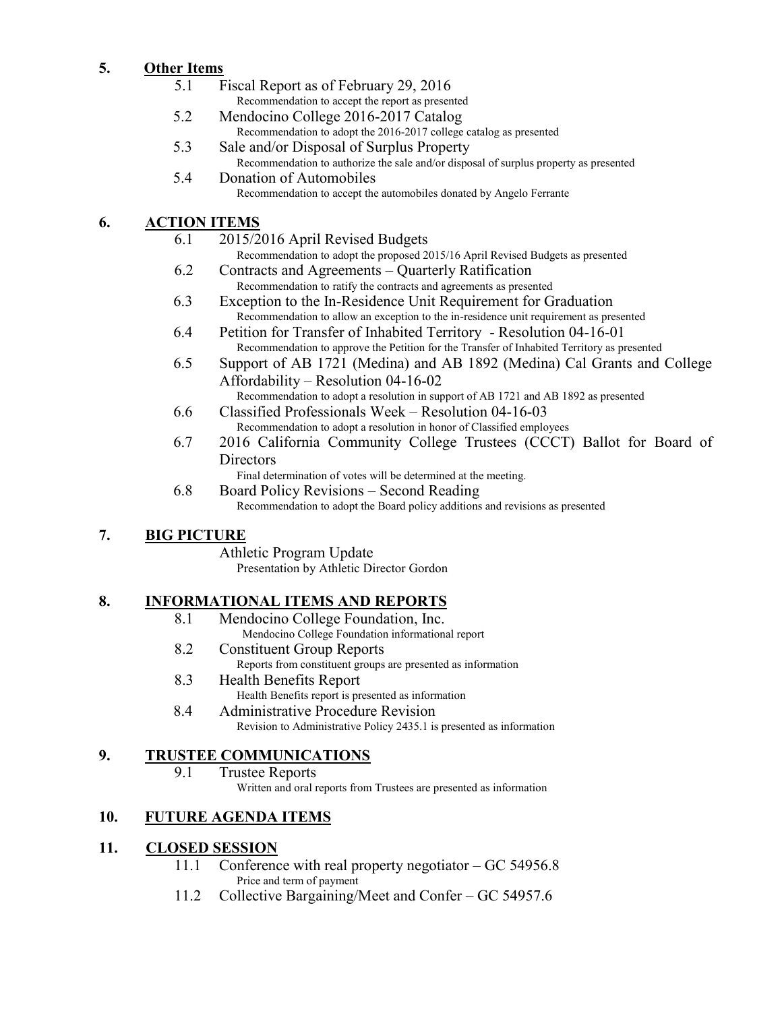## **5. Other Items**

- 5.1 Fiscal Report as of February 29, 2016 Recommendation to accept the report as presented
- 5.2 Mendocino College 2016-2017 Catalog Recommendation to adopt the 2016-2017 college catalog as presented
- 5.3 Sale and/or Disposal of Surplus Property Recommendation to authorize the sale and/or disposal of surplus property as presented
- 5.4 Donation of Automobiles Recommendation to accept the automobiles donated by Angelo Ferrante

## **6. ACTION ITEMS**

- 6.1 2015/2016 April Revised Budgets Recommendation to adopt the proposed 2015/16 April Revised Budgets as presented
- 6.2 Contracts and Agreements Quarterly Ratification Recommendation to ratify the contracts and agreements as presented
- 6.3 Exception to the In-Residence Unit Requirement for Graduation Recommendation to allow an exception to the in-residence unit requirement as presented
- 6.4 Petition for Transfer of Inhabited Territory Resolution 04-16-01 Recommendation to approve the Petition for the Transfer of Inhabited Territory as presented
- 6.5 Support of AB 1721 (Medina) and AB 1892 (Medina) Cal Grants and College Affordability – Resolution 04-16-02
- Recommendation to adopt a resolution in support of AB 1721 and AB 1892 as presented 6.6 Classified Professionals Week – Resolution 04-16-03
	- Recommendation to adopt a resolution in honor of Classified employees
- 6.7 2016 California Community College Trustees (CCCT) Ballot for Board of **Directors**

Final determination of votes will be determined at the meeting.

6.8 Board Policy Revisions – Second Reading Recommendation to adopt the Board policy additions and revisions as presented

# **7. BIG PICTURE**

Athletic Program Update

Presentation by Athletic Director Gordon

# **8. INFORMATIONAL ITEMS AND REPORTS**

- 8.1 Mendocino College Foundation, Inc. Mendocino College Foundation informational report
- 8.2 Constituent Group Reports
	- Reports from constituent groups are presented as information
- 8.3 Health Benefits Report
- Health Benefits report is presented as information 8.4 Administrative Procedure Revision
	- Revision to Administrative Policy 2435.1 is presented as information

## **9. TRUSTEE COMMUNICATIONS**

9.1 Trustee Reports

Written and oral reports from Trustees are presented as information

# **10. FUTURE AGENDA ITEMS**

## **11. CLOSED SESSION**

- 11.1 Conference with real property negotiator GC 54956.8 Price and term of payment
- 11.2 Collective Bargaining/Meet and Confer GC 54957.6